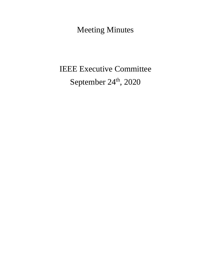Meeting Minutes

# IEEE Executive Committee September 24<sup>th</sup>, 2020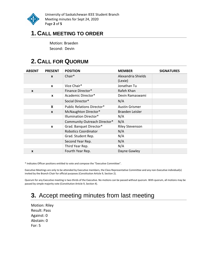

University of Saskatchewan IEEE Student Branch Meeting minutes for Sept 24, 2020 Page **2** of **5**

## **1. CALL MEETING TO ORDER**

Motion: Braeden Second: Devin

# **2. CALL FOR QUORUM**

| <b>ABSENT</b> | <b>PRESENT</b>   | <b>POSITION</b>                   | <b>MEMBER</b>                 | <b>SIGNATURES</b> |
|---------------|------------------|-----------------------------------|-------------------------------|-------------------|
|               | $\mathbf{x}$     | Chair*                            | Alexandria Shields<br>(Lexie) |                   |
|               | $\boldsymbol{x}$ | Vice Chair*                       | Jonathan Tu                   |                   |
| $\mathbf{x}$  |                  | Finance Director*                 | Rafeh Khan                    |                   |
|               | $\boldsymbol{x}$ | Academic Director*                | Devin Ramaswami               |                   |
|               |                  | Social Director*                  | N/A                           |                   |
|               | X                | <b>Public Relations Director*</b> | <b>Austin Grismer</b>         |                   |
|               | $\mathbf{x}$     | McNaughton Director*              | Braeden Leisler               |                   |
|               |                  | Illumination Director*            | N/A                           |                   |
|               |                  | Community Outreach Director*      | N/A                           |                   |
|               | $\mathbf{x}$     | Grad. Banquet Director*           | <b>Riley Stevenson</b>        |                   |
|               |                  | <b>Robotics Coordinator</b>       | N/A                           |                   |
|               |                  | Grad. Student Rep.                | N/A                           |                   |
|               |                  | Second Year Rep.                  | N/A                           |                   |
|               |                  | Third Year Rep.                   | N/A                           |                   |
| X             |                  | Fourth Year Rep.                  | Dayne Gawley                  |                   |

\* Indicates Officer positions entitled to vote and compose the "Executive Committee".

Executive Meetings are only to be attended by Executive members, the Class Representative Committee and any non-Executive individual(s) invited by the Branch Chair for official purposes (Constitution Article 9, Section 2).

Quorum for any Executive meeting is two-thirds of the Executive. No motions can be passed without quorum. With quorum, all motions may be passed by simple majority vote (Constitution Article 9, Section 4).

# **3.** Accept meeting minutes from last meeting

Motion: Riley Result: Pass Against: 0 Abstain: 0 For: 5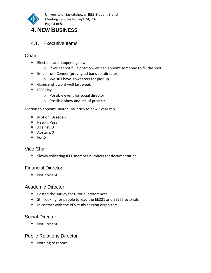

## **4. NEW BUSINESS**

4.1. Executive Items

#### **Chair**

- Elections are happening now
	- o If we cannot fill a position, we can appoint someone to fill the spot
- Email from Conner (prev. grad banquet director)
	- o We still have 3 sweaters for pick up
- Game night went well last week
- IEEE Dav
	- o Possible event for social director
	- o Possible show and tell of projects

Motion to appoint Dayton Haubrich to be  $4<sup>th</sup>$  year rep

- Motion: Braeden
- Result: Pass
- Against: 0
- Abstain: 0
- For:5

#### Vice Chair

■ Slowly collecting IEEE member numbers for documentation

#### Financial Director

■ Not present

#### Academic Director

- Posted the survey for tutorial preferences
- Still looking for people to lead the EE221 and EE265 tutorials
- In contact with the PES study session organizers

#### Social Director

■ Not Present

#### Public Relations Director

■ Nothing to report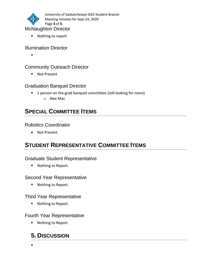

■ Nothing to report

#### Illumination Director

▪

#### Community Outreach Director

■ Not Present

#### Graduation Banquet Director

- 1 person on the grad banquet committee (still looking for more)
	- o Alex Mac

## **SPECIAL COMMITTEE ITEMS**

#### Robotics Coordinator

• Not Present.

# **STUDENT REPRESENTATIVE COMMITTEE ITEMS**

#### Graduate Student Representative

■ Nothing to Report.

#### Second Year Representative

■ Nothing to Report.

#### Third Year Representative

■ Nothing to Report.

#### Fourth Year Representative

■ Nothing to Report.

### **5. DISCUSSION**

▪